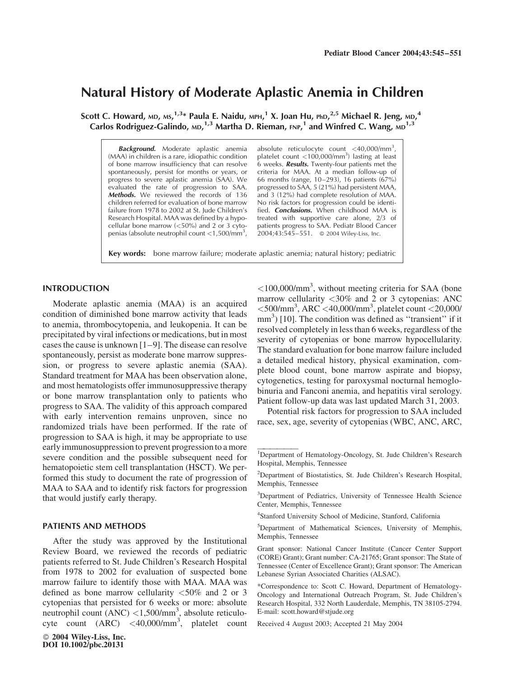# Natural History of Moderate Aplastic Anemia in Children

Scott C. Howard, мр, мѕ, $^{1,3}$ \* Paula E. Naidu, мрн, $^{1}$  X. Joan Hu, pһɒ, $^{2,5}$  Michael R. Jeng, мɒ, $^{4}$ Carlos Rodriguez-Galindo, MD,  $^{1,3}$  Martha D. Rieman, FNP,  $^{1}$  and Winfred C. Wang, MD  $^{1,3}$ 

Background. Moderate aplastic anemia (MAA) in children is a rare, idiopathic condition of bone marrow insufficiency that can resolve spontaneously, persist for months or years, or progress to severe aplastic anemia (SAA). We evaluated the rate of progression to SAA. Methods. We reviewed the records of 136 children referred for evaluation of bone marrow failure from 1978 to 2002 at St. Jude Children's Research Hospital. MAA was defined by a hypocellular bone marrow (<50%) and 2 or 3 cytopenias (absolute neutrophil count <1,500/mm<sup>3</sup>,

absolute reticulocyte count  $\langle 40,000/\text{mm}^3,$ platelet count <100,000/mm<sup>3</sup>) lasting at least 6 weeks. Results. Twenty-four patients met the criteria for MAA. At a median follow-up of 66 months (range, 10–293), 16 patients (67%) progressed to SAA, 5 (21%) had persistent MAA, and 3 (12%) had complete resolution of MAA. No risk factors for progression could be identified. **Conclusions.** When childhood MAA is treated with supportive care alone, 2/3 of patients progress to SAA. Pediatr Blood Cancer  $2004;43:545-551.$  © 2004 Wiley-Liss, Inc.

Key words: bone marrow failure; moderate aplastic anemia; natural history; pediatric

## INTRODUCTION

Moderate aplastic anemia (MAA) is an acquired condition of diminished bone marrow activity that leads to anemia, thrombocytopenia, and leukopenia. It can be precipitated by viral infections or medications, but in most cases the cause is unknown [1–9]. The disease can resolve spontaneously, persist as moderate bone marrow suppression, or progress to severe aplastic anemia (SAA). Standard treatment for MAA has been observation alone, and most hematologists offer immunosuppressive therapy or bone marrow transplantation only to patients who progress to SAA. The validity of this approach compared with early intervention remains unproven, since no randomized trials have been performed. If the rate of progression to SAA is high, it may be appropriate to use early immunosuppression to prevent progression to a more severe condition and the possible subsequent need for hematopoietic stem cell transplantation (HSCT). We performed this study to document the rate of progression of MAA to SAA and to identify risk factors for progression that would justify early therapy.

#### PATIENTS AND METHODS

After the study was approved by the Institutional Review Board, we reviewed the records of pediatric patients referred to St. Jude Children's Research Hospital from 1978 to 2002 for evaluation of suspected bone marrow failure to identify those with MAA. MAA was defined as bone marrow cellularity <50% and 2 or 3 cytopenias that persisted for 6 weeks or more: absolute neutrophil count (ANC) <1,500/mm<sup>3</sup>, absolute reticulocyte count  $(ARC)$  <40,000/mm<sup>3</sup>, platelet count

 2004 Wiley-Liss, Inc. DOI 10.1002/pbc.20131

 $<$ 100,000/mm<sup>3</sup>, without meeting criteria for SAA (bone marrow cellularity <30% and 2 or 3 cytopenias: ANC  $<$ 500/mm<sup>3</sup>, ARC  $<$ 40,000/mm<sup>3</sup>, platelet count  $<$ 20,000/ mm<sup>3</sup>) [10]. The condition was defined as "transient" if it resolved completely in less than 6 weeks, regardless of the severity of cytopenias or bone marrow hypocellularity. The standard evaluation for bone marrow failure included a detailed medical history, physical examination, complete blood count, bone marrow aspirate and biopsy, cytogenetics, testing for paroxysmal nocturnal hemoglobinuria and Fanconi anemia, and hepatitis viral serology. Patient follow-up data was last updated March 31, 2003.

Potential risk factors for progression to SAA included race, sex, age, severity of cytopenias (WBC, ANC, ARC,

Received 4 August 2003; Accepted 21 May 2004

<sup>1&</sup>lt;br> **1** Department of Hematology-Oncology, St. Jude Children's Research Hospital, Memphis, Tennessee

<sup>&</sup>lt;sup>2</sup>Department of Biostatistics, St. Jude Children's Research Hospital, Memphis, Tennessee

<sup>&</sup>lt;sup>3</sup>Department of Pediatrics, University of Tennessee Health Science Center, Memphis, Tennessee

<sup>4</sup> Stanford University School of Medicine, Stanford, California

<sup>&</sup>lt;sup>5</sup>Department of Mathematical Sciences, University of Memphis, Memphis, Tennessee

Grant sponsor: National Cancer Institute (Cancer Center Support (CORE) Grant); Grant number: CA-21765; Grant sponsor: The State of Tennessee (Center of Excellence Grant); Grant sponsor: The American Lebanese Syrian Associated Charities (ALSAC).

<sup>\*</sup>Correspondence to: Scott C. Howard, Department of Hematology-Oncology and International Outreach Program, St. Jude Children's Research Hospital, 332 North Lauderdale, Memphis, TN 38105-2794. E-mail: scott.howard@stjude.org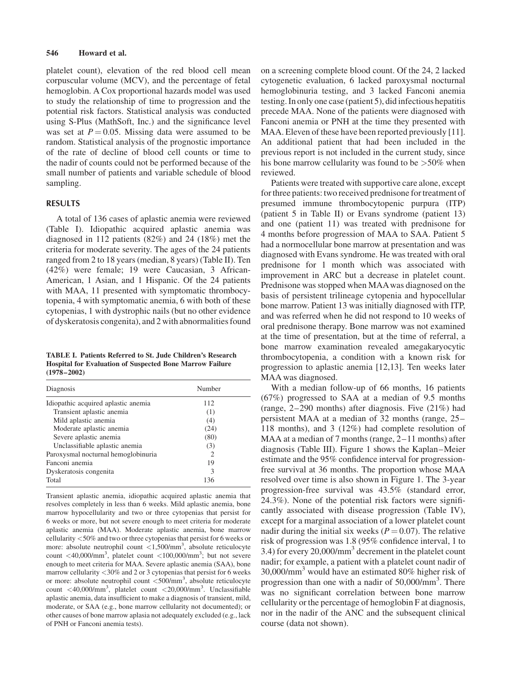## 546 Howard et al.

platelet count), elevation of the red blood cell mean corpuscular volume (MCV), and the percentage of fetal hemoglobin. A Cox proportional hazards model was used to study the relationship of time to progression and the potential risk factors. Statistical analysis was conducted using S-Plus (MathSoft, Inc.) and the significance level was set at  $P = 0.05$ . Missing data were assumed to be random. Statistical analysis of the prognostic importance of the rate of decline of blood cell counts or time to the nadir of counts could not be performed because of the small number of patients and variable schedule of blood sampling.

# RESULTS

A total of 136 cases of aplastic anemia were reviewed (Table I). Idiopathic acquired aplastic anemia was diagnosed in 112 patients (82%) and 24 (18%) met the criteria for moderate severity. The ages of the 24 patients ranged from 2 to 18 years (median, 8 years) (Table II). Ten (42%) were female; 19 were Caucasian, 3 African-American, 1 Asian, and 1 Hispanic. Of the 24 patients with MAA, 11 presented with symptomatic thrombocytopenia, 4 with symptomatic anemia, 6 with both of these cytopenias, 1 with dystrophic nails (but no other evidence of dyskeratosis congenita), and 2 with abnormalities found

TABLE I. Patients Referred to St. Jude Children's Research Hospital for Evaluation of Suspected Bone Marrow Failure (1978–2002)

| Diagnosis                           | Number |
|-------------------------------------|--------|
| Idiopathic acquired aplastic anemia | 112    |
| Transient aplastic anemia           | (1)    |
| Mild aplastic anemia                | (4)    |
| Moderate aplastic anemia            | (24)   |
| Severe aplastic anemia              | (80)   |
| Unclassifiable aplastic anemia      | (3)    |
| Paroxysmal nocturnal hemoglobinuria | 2      |
| Fanconi anemia                      | 19     |
| Dyskeratosis congenita              | 3      |
| Total                               | 136    |

Transient aplastic anemia, idiopathic acquired aplastic anemia that resolves completely in less than 6 weeks. Mild aplastic anemia, bone marrow hypocellularity and two or three cytopenias that persist for 6 weeks or more, but not severe enough to meet criteria for moderate aplastic anemia (MAA). Moderate aplastic anemia, bone marrow cellularity <50% and two or three cytopenias that persist for 6 weeks or more: absolute neutrophil count <1,500/mm<sup>3</sup>, absolute reticulocyte count  $\langle 40,000/\text{mm}^3$ , platelet count  $\langle 100,000/\text{mm}^3$ ; but not severe enough to meet criteria for MAA. Severe aplastic anemia (SAA), bone marrow cellularity <30% and 2 or 3 cytopenias that persist for 6 weeks or more: absolute neutrophil count <500/mm<sup>3</sup>, absolute reticulocyte count <40,000/mm3 , platelet count <20,000/mm<sup>3</sup> . Unclassifiable aplastic anemia, data insufficient to make a diagnosis of transient, mild, moderate, or SAA (e.g., bone marrow cellularity not documented); or other causes of bone marrow aplasia not adequately excluded (e.g., lack of PNH or Fanconi anemia tests).

on a screening complete blood count. Of the 24, 2 lacked cytogenetic evaluation, 6 lacked paroxysmal nocturnal hemoglobinuria testing, and 3 lacked Fanconi anemia testing. In only one case (patient 5), did infectious hepatitis precede MAA. None of the patients were diagnosed with Fanconi anemia or PNH at the time they presented with MAA. Eleven of these have been reported previously [11]. An additional patient that had been included in the previous report is not included in the current study, since his bone marrow cellularity was found to be  $>50\%$  when reviewed.

Patients were treated with supportive care alone, except for three patients: two received prednisone for treatment of presumed immune thrombocytopenic purpura (ITP) (patient 5 in Table II) or Evans syndrome (patient 13) and one (patient 11) was treated with prednisone for 4 months before progression of MAA to SAA. Patient 5 had a normocellular bone marrow at presentation and was diagnosed with Evans syndrome. He was treated with oral prednisone for 1 month which was associated with improvement in ARC but a decrease in platelet count. Prednisone was stopped when MAAwas diagnosed on the basis of persistent trilineage cytopenia and hypocellular bone marrow. Patient 13 was initially diagnosed with ITP, and was referred when he did not respond to 10 weeks of oral prednisone therapy. Bone marrow was not examined at the time of presentation, but at the time of referral, a bone marrow examination revealed amegakaryocytic thrombocytopenia, a condition with a known risk for progression to aplastic anemia [12,13]. Ten weeks later MAA was diagnosed.

With a median follow-up of 66 months, 16 patients (67%) progressed to SAA at a median of 9.5 months (range, 2–290 months) after diagnosis. Five (21%) had persistent MAA at a median of 32 months (range, 25– 118 months), and 3 (12%) had complete resolution of MAA at a median of 7 months (range, 2–11 months) after diagnosis (Table III). Figure 1 shows the Kaplan–Meier estimate and the 95% confidence interval for progressionfree survival at 36 months. The proportion whose MAA resolved over time is also shown in Figure 1. The 3-year progression-free survival was 43.5% (standard error, 24.3%). None of the potential risk factors were significantly associated with disease progression (Table IV), except for a marginal association of a lower platelet count nadir during the initial six weeks ( $P = 0.07$ ). The relative risk of progression was 1.8 (95% confidence interval, 1 to 3.4) for every 20,000/mm<sup>3</sup> decrement in the platelet count nadir; for example, a patient with a platelet count nadir of  $30,000/\text{mm}^3$  would have an estimated 80% higher risk of progression than one with a nadir of 50,000/mm<sup>3</sup>. There was no significant correlation between bone marrow cellularity or the percentage of hemoglobin F at diagnosis, nor in the nadir of the ANC and the subsequent clinical course (data not shown).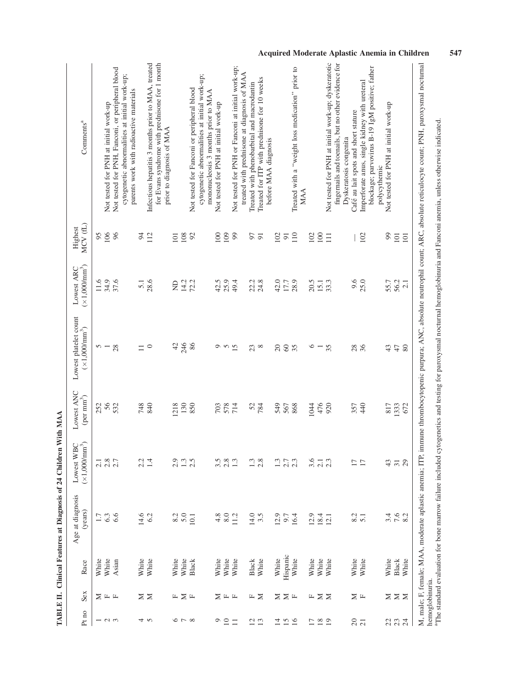| Pt no                                          | Sex                               | Race         | Age at diagnosis<br>(years) | Lowest WBC<br>$(\times 1,000/\text{mm}^3)$<br>(x1,000/nm) | Lowest ANC<br>(per $\mathrm{mm}^3$ ) | Lowest platelet count<br>$(\times 1,000/\text{mm}^3)$ | $(\times1{,}000\mathrm{mm}^3)$<br>Lowest ARC | MCV <sub>(L)</sub><br>Highest | Comments <sup>a</sup>                                                                                                                                                                                                                                                                                                                                                          |
|------------------------------------------------|-----------------------------------|--------------|-----------------------------|-----------------------------------------------------------|--------------------------------------|-------------------------------------------------------|----------------------------------------------|-------------------------------|--------------------------------------------------------------------------------------------------------------------------------------------------------------------------------------------------------------------------------------------------------------------------------------------------------------------------------------------------------------------------------|
|                                                |                                   | White        | $1.7\,$                     |                                                           | 252                                  |                                                       | 11.6                                         | 95                            |                                                                                                                                                                                                                                                                                                                                                                                |
| $ \sim$ $\sim$                                 | $\Sigma$ $\overline{\phantom{1}}$ | White        | 6.3                         |                                                           | 56                                   | $\frac{5}{2}$                                         | 34.9                                         | 106                           | Not tested for PNH at initial work-up                                                                                                                                                                                                                                                                                                                                          |
|                                                |                                   | Asian        | 6.6                         | $\frac{218}{2.8}$                                         | 532                                  | 28                                                    | 37.6                                         | 96                            | Not tested for PNH, Fanconi, or peripheral blood<br>cytogenetic abnormalities at initial work-up;                                                                                                                                                                                                                                                                              |
|                                                |                                   |              |                             |                                                           |                                      |                                                       |                                              |                               | parents work with radioactive materials                                                                                                                                                                                                                                                                                                                                        |
|                                                | Z                                 | White        | 14.6                        | 2.2                                                       | 748                                  | $\Box$                                                | 5.1                                          | $\approx$                     |                                                                                                                                                                                                                                                                                                                                                                                |
| 4 N                                            | $\geq$                            | White        | 6.2                         | 1.4                                                       | 840                                  | $\circ$                                               | 28.6                                         | 112                           | Infectious hepatitis 3 months prior to MAA, treated<br>for Evans syndrome with prednisone for 1 month                                                                                                                                                                                                                                                                          |
|                                                |                                   |              |                             |                                                           |                                      |                                                       |                                              |                               | prior to diagnosis of MAA                                                                                                                                                                                                                                                                                                                                                      |
|                                                | щ                                 | White        | 8.2                         |                                                           | 218                                  | $\varphi$                                             | g                                            | 101                           |                                                                                                                                                                                                                                                                                                                                                                                |
| $\infty$ $\sim$ $\infty$                       | $\geq$                            | White        | 5.0                         | 1.3                                                       | 130                                  | 246                                                   | 14.2                                         | 108                           |                                                                                                                                                                                                                                                                                                                                                                                |
|                                                | $\mathbb{L}$                      | <b>Black</b> | 10.1                        | 2.5                                                       | 850                                  | 86                                                    | 72.2                                         | 92                            | Not tested for Fanconi or peripheral blood                                                                                                                                                                                                                                                                                                                                     |
|                                                |                                   |              |                             |                                                           |                                      |                                                       |                                              |                               | cytogenetic abnormalities at initial work-up;<br>mononucleosis 3 months prior to MAA                                                                                                                                                                                                                                                                                           |
|                                                | ⋝                                 | White        | 4.8                         | 3.5                                                       | 703                                  |                                                       | 42.5                                         | 100                           | Not tested for PNH at initial work-up                                                                                                                                                                                                                                                                                                                                          |
| $\frac{1}{2}$                                  |                                   | White        | 8.0                         | 2.8                                                       |                                      |                                                       | 25.9                                         | 109                           |                                                                                                                                                                                                                                                                                                                                                                                |
| $\Box$                                         | 山 山                               | White        | 11.2                        | 1.3                                                       | 578<br>714                           | 950                                                   | 49.4                                         | 99                            | Not tested for PNH or Fanconi at initial work-up;                                                                                                                                                                                                                                                                                                                              |
|                                                |                                   |              |                             |                                                           |                                      |                                                       |                                              |                               | treated with prednisone at diagnosis of MAA                                                                                                                                                                                                                                                                                                                                    |
| $\overline{c}$                                 | Щ                                 | Black        | 14.0                        | 1.3                                                       | 52                                   | 23                                                    | 22.2                                         | 50                            | Treated with phenobarbital and macrodantin                                                                                                                                                                                                                                                                                                                                     |
| 13                                             | $\geq$                            | White        | 3.5                         | 2.8                                                       | 784                                  | $\infty$                                              | 24.8                                         | $\overline{9}$                | Treated for ITP with prednisone for 10 weeks                                                                                                                                                                                                                                                                                                                                   |
|                                                |                                   |              |                             |                                                           |                                      |                                                       |                                              |                               | before MAA diagnosis                                                                                                                                                                                                                                                                                                                                                           |
| $\begin{array}{c}\n 14 \\  20 \\  \end{array}$ | $\Xi \Sigma$ H                    | White        | 12.9                        | $\ddot{1}$                                                | 549                                  | $\overline{c}$                                        | 42.0                                         | 102                           |                                                                                                                                                                                                                                                                                                                                                                                |
|                                                |                                   | Hispanic     | 9.7                         | 2.7                                                       | 567                                  | 60                                                    | 17.7                                         | $\overline{9}$                |                                                                                                                                                                                                                                                                                                                                                                                |
|                                                |                                   | White        | 16.4                        | 2.3                                                       | 868                                  | 35                                                    | 28.9                                         | 110                           | Treated with a "weight loss medication" prior to<br>MAA                                                                                                                                                                                                                                                                                                                        |
| 17                                             |                                   | White        | 12.9                        | 3.6                                                       | 1044                                 | $\circ$                                               | 20.5                                         | 102                           |                                                                                                                                                                                                                                                                                                                                                                                |
|                                                | F ΣΣ                              | White        | 18.4                        |                                                           | 476                                  |                                                       | 15.1                                         | 100                           |                                                                                                                                                                                                                                                                                                                                                                                |
| $\frac{8}{19}$                                 |                                   | White        | 12.1                        | $\frac{2.1}{2.3}$                                         | 920                                  | 35                                                    | 33.3                                         | $\Xi$                         | Not tested for PNH at initial work-up; dyskeratotic                                                                                                                                                                                                                                                                                                                            |
|                                                |                                   |              |                             |                                                           |                                      |                                                       |                                              |                               | fingernails and toenails, but no other evidence for<br>Dyskeratosis congenita                                                                                                                                                                                                                                                                                                  |
|                                                |                                   | White        | 8.2                         |                                                           | 357                                  | 28                                                    | 9.6                                          |                               | Café au lait spots and short stature                                                                                                                                                                                                                                                                                                                                           |
| $\frac{20}{21}$                                | Σц                                | White        | $\overline{5.1}$            | $\overline{17}$                                           | 440                                  | 36                                                    | 25.0                                         | 102                           | Imperforate anus, single kidney with ureteral                                                                                                                                                                                                                                                                                                                                  |
|                                                |                                   |              |                             |                                                           |                                      |                                                       |                                              |                               | blockage; parvovirus B-19 IgM positive; father<br>polycythemic                                                                                                                                                                                                                                                                                                                 |
| 233                                            |                                   | White        | 3.4                         | 43                                                        | 817                                  | 43                                                    | 55.7                                         | $\mathfrak{g}$                | Not tested for PNH at initial work-up                                                                                                                                                                                                                                                                                                                                          |
|                                                | $\Sigma \Sigma$                   | <b>Black</b> | 7.6                         | $\overline{5}$ 3                                          | 1333                                 | $47$                                                  | 56.2                                         | 101                           |                                                                                                                                                                                                                                                                                                                                                                                |
|                                                |                                   | White        | 8.2                         |                                                           | 672                                  | 80                                                    | 2.1                                          | 101                           |                                                                                                                                                                                                                                                                                                                                                                                |
|                                                | hemoglobinuria.                   |              |                             |                                                           |                                      |                                                       |                                              |                               | M, male; F, female; MAA, moderate aplastic anemia; ITP, immune thrombocytopenic purpura; ANC, absolute neutrophil count; ARC, absolute reticulocyte count; PNH, paroxysmal nocturnal<br><sup>3</sup> The standard evaluation for bone marrow failure included cytogenetics and testing for paroxysmal nocturnal hemoglobinuria and Fanconi anemia, unless otherwise indicated. |
|                                                |                                   |              |                             |                                                           |                                      |                                                       |                                              |                               |                                                                                                                                                                                                                                                                                                                                                                                |

TABLE II. Clinical Features at Diagnosis of 24 Children With MAA TABLE II. Clinical Features at Diagnosis of 24 Children With MAA Acquired Moderate Aplastic Anemia in Children 547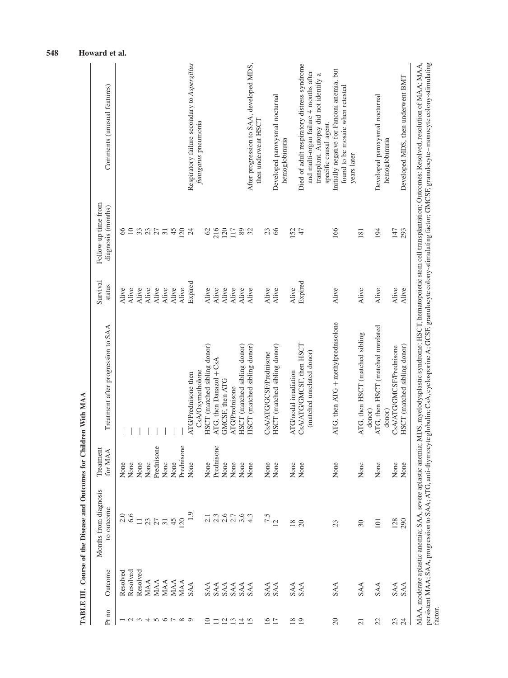| Pt no                                              | Outcome                         | Months from diagnosis<br>to outcome | Treatment<br>for MAA | Treatment after progression to SAA          | Survival<br>status | Follow-up time from<br>diagnosis (months) | Comments (unusual features)                                                                                                                                                                                                                                                                                                                                                      |
|----------------------------------------------------|---------------------------------|-------------------------------------|----------------------|---------------------------------------------|--------------------|-------------------------------------------|----------------------------------------------------------------------------------------------------------------------------------------------------------------------------------------------------------------------------------------------------------------------------------------------------------------------------------------------------------------------------------|
|                                                    | Resolved                        |                                     | None                 |                                             | Alive              | 8                                         |                                                                                                                                                                                                                                                                                                                                                                                  |
| $\sim$                                             | <b>Resolved</b>                 |                                     | None                 |                                             | Alive              | $\supseteq$                               |                                                                                                                                                                                                                                                                                                                                                                                  |
| $\sim$                                             | Resolved                        | $\Box$                              | None                 |                                             | Alive              |                                           |                                                                                                                                                                                                                                                                                                                                                                                  |
| 4                                                  | MAA                             |                                     | None                 |                                             | Alive              |                                           |                                                                                                                                                                                                                                                                                                                                                                                  |
| $\sim$                                             | MAA                             | 23                                  | Prednisone           |                                             | Alive              |                                           |                                                                                                                                                                                                                                                                                                                                                                                  |
|                                                    | MAA                             | $\overline{31}$                     | None                 |                                             | Alive              | 337774                                    |                                                                                                                                                                                                                                                                                                                                                                                  |
| $\circ$ $\sim$                                     | MAA                             | 45                                  | None                 |                                             | Alive              |                                           |                                                                                                                                                                                                                                                                                                                                                                                  |
| $\infty$                                           | MAA                             | 20                                  | Prednisone           |                                             | Alive              | 120                                       |                                                                                                                                                                                                                                                                                                                                                                                  |
|                                                    | SAA                             |                                     | None                 | ATG/Prednisone then                         | Expired            | 24                                        | Respiratory failure secondary to Aspergillus                                                                                                                                                                                                                                                                                                                                     |
|                                                    |                                 |                                     |                      | CsA/Oxymetholone                            |                    |                                           | fumigatus pneumonia                                                                                                                                                                                                                                                                                                                                                              |
| $\supseteq$                                        | SAA<br>SAA<br>SAA<br>SAA<br>SAA |                                     | None                 | HSCT (matched sibling donor)                | Alive              | $\mathcal{O}$                             |                                                                                                                                                                                                                                                                                                                                                                                  |
| $\Box$                                             |                                 |                                     | Prednisone           | ATG, then Danazol + CsA                     | Alive              | 216                                       |                                                                                                                                                                                                                                                                                                                                                                                  |
|                                                    |                                 |                                     | None                 | GMCSF, then ATG                             | Alive              | $120\,$                                   |                                                                                                                                                                                                                                                                                                                                                                                  |
|                                                    |                                 |                                     | None                 | <b>ATG/Prednisone</b>                       | Alive              | 117                                       |                                                                                                                                                                                                                                                                                                                                                                                  |
|                                                    |                                 |                                     | None                 | HSCT (matched sibling donor)                | Alive              |                                           |                                                                                                                                                                                                                                                                                                                                                                                  |
| $\begin{array}{c}\n2.7 \\ 2.7 \\ 1.7\n\end{array}$ |                                 | $7.36763$<br>$0.76763$              | $\rm None$           | HSCT (matched sibling donor)                | Alive              | 82                                        | After progression to SAA, developed MDS,                                                                                                                                                                                                                                                                                                                                         |
|                                                    |                                 |                                     |                      |                                             |                    |                                           | then underwent HSCT                                                                                                                                                                                                                                                                                                                                                              |
| $16$<br>17                                         | SAA<br>SAA                      | 7.5                                 | None                 | CsA/ATG/GCSF/Prednisone                     | Alive              | 23                                        |                                                                                                                                                                                                                                                                                                                                                                                  |
|                                                    |                                 | $\overline{c}$                      | None                 | HSCT (matched sibling donor)                | Alive              | 66                                        | Developed paroxysmal nocturnal                                                                                                                                                                                                                                                                                                                                                   |
|                                                    |                                 |                                     |                      |                                             |                    |                                           | hemoglobinuria                                                                                                                                                                                                                                                                                                                                                                   |
| $18\,$                                             | SAA                             | $\frac{8}{18}$                      | None                 | ATG/nodal irradiation                       | Alive              | 152                                       |                                                                                                                                                                                                                                                                                                                                                                                  |
| 19                                                 | <b>SAA</b>                      | $\overline{20}$                     | None                 | CsA/ATG/GMCSF, then HSCT                    | Expired            | 47                                        | Died of adult respiratory distress syndrome                                                                                                                                                                                                                                                                                                                                      |
|                                                    |                                 |                                     |                      | (matched unrelated donor)                   |                    |                                           | and multi-organ failure 4 months after                                                                                                                                                                                                                                                                                                                                           |
|                                                    |                                 |                                     |                      |                                             |                    |                                           | a<br>transplant. Autopsy did not identify<br>specific causal agent.                                                                                                                                                                                                                                                                                                              |
| 20                                                 | <b>SAA</b>                      | 23                                  | None                 | ATG, then $ATG +$ methylprednisolone        | Alive              | 166                                       | Initially negative for Fanconi anemia, but                                                                                                                                                                                                                                                                                                                                       |
|                                                    |                                 |                                     |                      |                                             |                    |                                           | found to be mosaic when retested<br>years later                                                                                                                                                                                                                                                                                                                                  |
| $\overline{21}$                                    | <b>SAA</b>                      | 30                                  | None                 | ATG, then HSCT (matched sibling<br>donor)   | Alive              | 181                                       |                                                                                                                                                                                                                                                                                                                                                                                  |
| 22                                                 | <b>SAA</b>                      | 101                                 | None                 | ATG, then HSCT (matched unrelated<br>donor) | Alive              | 194                                       | Developed paroxysmal nocturnal<br>hemoglobinuria                                                                                                                                                                                                                                                                                                                                 |
| 23                                                 | <b>SAA</b>                      | 128                                 | None                 | CsA/ATG/GMCSF/Prednisone                    | Alive              | 147                                       |                                                                                                                                                                                                                                                                                                                                                                                  |
| 24                                                 | <b>SAA</b>                      | 290                                 | None                 | HSCT (matched sibling donor)                | Alive              | 293                                       | Developed MDS, then underwent BMT                                                                                                                                                                                                                                                                                                                                                |
| factor.                                            |                                 |                                     |                      |                                             |                    |                                           | persistent MAA; SAA, progression to SAA; ATG, anti-thymocyte globulin; CsA, cyclosporine A; GCSF, granulocyte colony-stimulating factor; GMCSF, granulocyte-monocyte colony-stimulating<br>MAA, moderate aplastic anemia; SAA, severe aplastic anemia; MDS, myelodysplastic syndrome; HSCT, hematopoietic stem cell transplantation; Outcomes: Resolved, resolution of MAA; MAA, |

TABLE III. Course of the Disease and Outcomes for Children With MAA TABLE III. Course of the Disease and Outcomes for Children With MAA

548 Howard et al.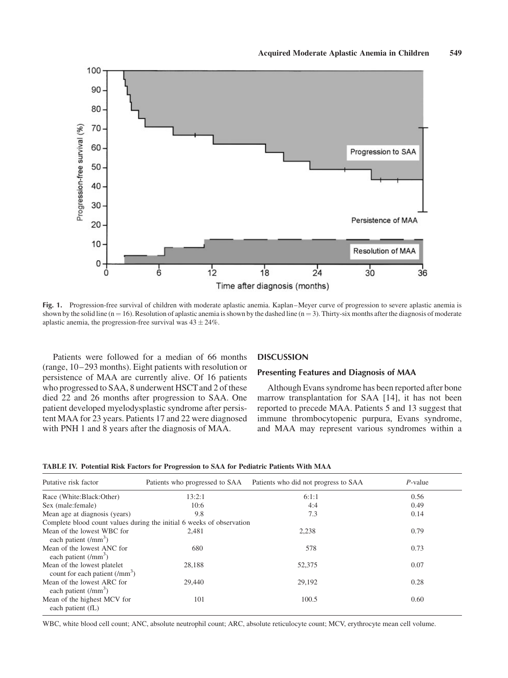

Fig. 1. Progression-free survival of children with moderate aplastic anemia. Kaplan–Meyer curve of progression to severe aplastic anemia is shown by the solid line  $(n = 16)$ . Resolution of aplastic anemia is shown by the dashed line  $(n = 3)$ . Thirty-six months after the diagnosis of moderate aplastic anemia, the progression-free survival was  $43 \pm 24\%$ .

Patients were followed for a median of 66 months (range, 10–293 months). Eight patients with resolution or persistence of MAA are currently alive. Of 16 patients who progressed to SAA, 8 underwent HSCT and 2 of these died 22 and 26 months after progression to SAA. One patient developed myelodysplastic syndrome after persistent MAA for 23 years. Patients 17 and 22 were diagnosed with PNH 1 and 8 years after the diagnosis of MAA.

## **DISCUSSION**

#### Presenting Features and Diagnosis of MAA

Although Evans syndrome has been reported after bone marrow transplantation for SAA [14], it has not been reported to precede MAA. Patients 5 and 13 suggest that immune thrombocytopenic purpura, Evans syndrome, and MAA may represent various syndromes within a

TABLE IV. Potential Risk Factors for Progression to SAA for Pediatric Patients With MAA

| Putative risk factor                                           | Patients who progressed to SAA                                        | Patients who did not progress to SAA | $P$ -value |  |
|----------------------------------------------------------------|-----------------------------------------------------------------------|--------------------------------------|------------|--|
| Race (White:Black:Other)                                       | 13:2:1                                                                | 6:1:1                                | 0.56       |  |
| Sex (male: female)                                             | 10:6                                                                  | 4:4                                  | 0.49       |  |
| Mean age at diagnosis (years)                                  | 9.8                                                                   | 7.3                                  | 0.14       |  |
|                                                                | Complete blood count values during the initial 6 weeks of observation |                                      |            |  |
| Mean of the lowest WBC for<br>each patient $(lmm3)$            | 2.481                                                                 | 2.238                                | 0.79       |  |
| Mean of the lowest ANC for<br>each patient $(lmm3)$            | 680                                                                   | 578                                  | 0.73       |  |
| Mean of the lowest platelet<br>count for each patient $(lmm3)$ | 28,188                                                                | 52,375                               | 0.07       |  |
| Mean of the lowest ARC for<br>each patient $(lmm3)$            | 29,440                                                                | 29,192                               | 0.28       |  |
| Mean of the highest MCV for<br>each patient (fL)               | 101                                                                   | 100.5                                | 0.60       |  |

WBC, white blood cell count; ANC, absolute neutrophil count; ARC, absolute reticulocyte count; MCV, erythrocyte mean cell volume.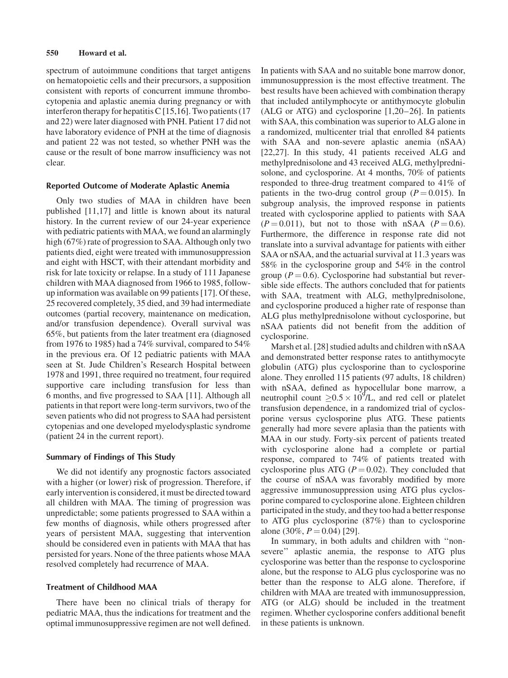# 550 Howard et al.

spectrum of autoimmune conditions that target antigens on hematopoietic cells and their precursors, a supposition consistent with reports of concurrent immune thrombocytopenia and aplastic anemia during pregnancy or with interferon therapy for hepatitis C [15,16]. Two patients  $(17$ and 22) were later diagnosed with PNH. Patient 17 did not have laboratory evidence of PNH at the time of diagnosis and patient 22 was not tested, so whether PNH was the cause or the result of bone marrow insufficiency was not clear.

## Reported Outcome of Moderate Aplastic Anemia

Only two studies of MAA in children have been published [11,17] and little is known about its natural history. In the current review of our 24-year experience with pediatric patients with MAA, we found an alarmingly high (67%) rate of progression to SAA. Although only two patients died, eight were treated with immunosuppression and eight with HSCT, with their attendant morbidity and risk for late toxicity or relapse. In a study of 111 Japanese children with MAA diagnosed from 1966 to 1985, followup information was available on 99 patients [17]. Of these, 25 recovered completely, 35 died, and 39 had intermediate outcomes (partial recovery, maintenance on medication, and/or transfusion dependence). Overall survival was 65%, but patients from the later treatment era (diagnosed from 1976 to 1985) had a 74% survival, compared to 54% in the previous era. Of 12 pediatric patients with MAA seen at St. Jude Children's Research Hospital between 1978 and 1991, three required no treatment, four required supportive care including transfusion for less than 6 months, and five progressed to SAA [11]. Although all patients in that report were long-term survivors, two of the seven patients who did not progress to SAA had persistent cytopenias and one developed myelodysplastic syndrome (patient 24 in the current report).

# Summary of Findings of This Study

We did not identify any prognostic factors associated with a higher (or lower) risk of progression. Therefore, if early intervention is considered, it must be directed toward all children with MAA. The timing of progression was unpredictable; some patients progressed to SAA within a few months of diagnosis, while others progressed after years of persistent MAA, suggesting that intervention should be considered even in patients with MAA that has persisted for years. None of the three patients whose MAA resolved completely had recurrence of MAA.

# Treatment of Childhood MAA

There have been no clinical trials of therapy for pediatric MAA, thus the indications for treatment and the optimal immunosuppressive regimen are not well defined.

In patients with SAA and no suitable bone marrow donor, immunosuppression is the most effective treatment. The best results have been achieved with combination therapy that included antilymphocyte or antithymocyte globulin (ALG or ATG) and cyclosporine [1,20–26]. In patients with SAA, this combination was superior to ALG alone in a randomized, multicenter trial that enrolled 84 patients with SAA and non-severe aplastic anemia (nSAA) [22,27]. In this study, 41 patients received ALG and methylprednisolone and 43 received ALG, methylprednisolone, and cyclosporine. At 4 months, 70% of patients responded to three-drug treatment compared to 41% of patients in the two-drug control group ( $P = 0.015$ ). In subgroup analysis, the improved response in patients treated with cyclosporine applied to patients with SAA  $(P = 0.011)$ , but not to those with nSAA  $(P = 0.6)$ . Furthermore, the difference in response rate did not translate into a survival advantage for patients with either SAA or nSAA, and the actuarial survival at 11.3 years was 58% in the cyclosporine group and 54% in the control group ( $P = 0.6$ ). Cyclosporine had substantial but reversible side effects. The authors concluded that for patients with SAA, treatment with ALG, methylprednisolone, and cyclosporine produced a higher rate of response than ALG plus methylprednisolone without cyclosporine, but nSAA patients did not benefit from the addition of cyclosporine.

Marsh et al. [28] studied adults and children with nSAA and demonstrated better response rates to antithymocyte globulin (ATG) plus cyclosporine than to cyclosporine alone. They enrolled 115 patients (97 adults, 18 children) with nSAA, defined as hypocellular bone marrow, a neutrophil count  $\geq 0.5 \times 10^9$ /L, and red cell or platelet transfusion dependence, in a randomized trial of cyclosporine versus cyclosporine plus ATG. These patients generally had more severe aplasia than the patients with MAA in our study. Forty-six percent of patients treated with cyclosporine alone had a complete or partial response, compared to 74% of patients treated with cyclosporine plus ATG ( $P = 0.02$ ). They concluded that the course of nSAA was favorably modified by more aggressive immunosuppression using ATG plus cyclosporine compared to cyclosporine alone. Eighteen children participated in the study, and they too had a better response to ATG plus cyclosporine (87%) than to cyclosporine alone (30%,  $P = 0.04$ ) [29].

In summary, in both adults and children with ''nonsevere'' aplastic anemia, the response to ATG plus cyclosporine was better than the response to cyclosporine alone, but the response to ALG plus cyclosporine was no better than the response to ALG alone. Therefore, if children with MAA are treated with immunosuppression, ATG (or ALG) should be included in the treatment regimen. Whether cyclosporine confers additional benefit in these patients is unknown.